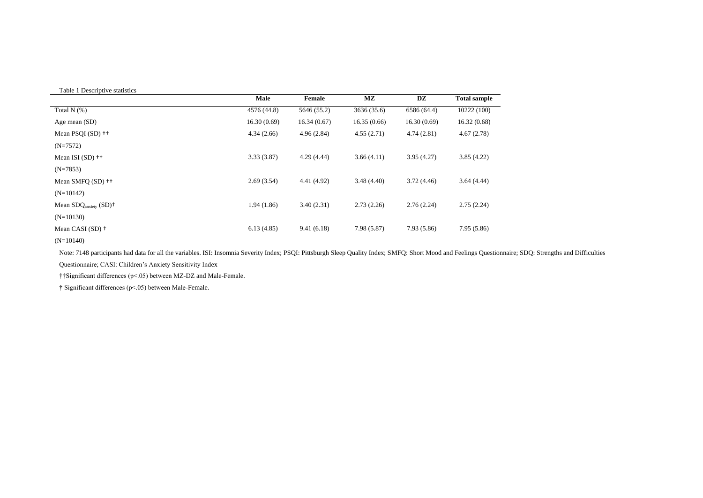## Table 1 Descriptive statistics

|                                                   | Male        | Female      | $\mathbf{M}\mathbf{Z}$ | DZ          | <b>Total sample</b> |
|---------------------------------------------------|-------------|-------------|------------------------|-------------|---------------------|
| Total $N$ (%)                                     | 4576 (44.8) | 5646 (55.2) | 3636 (35.6)            | 6586 (64.4) | 10222(100)          |
| Age mean (SD)                                     | 16.30(0.69) | 16.34(0.67) | 16.35(0.66)            | 16.30(0.69) | 16.32(0.68)         |
| Mean PSOI (SD) <sup>++</sup>                      | 4.34(2.66)  | 4.96(2.84)  | 4.55(2.71)             | 4.74(2.81)  | 4.67(2.78)          |
| $(N=7572)$                                        |             |             |                        |             |                     |
| Mean ISI $(SD)$ ++                                | 3.33(3.87)  | 4.29(4.44)  | 3.66(4.11)             | 3.95(4.27)  | 3.85(4.22)          |
| $(N=7853)$                                        |             |             |                        |             |                     |
| Mean SMFO (SD) <sup>++</sup>                      | 2.69(3.54)  | 4.41 (4.92) | 3.48(4.40)             | 3.72(4.46)  | 3.64(4.44)          |
| $(N=10142)$                                       |             |             |                        |             |                     |
| Mean $SDQ$ <sub>anxiety</sub> $(SD)$ <sup>+</sup> | 1.94(1.86)  | 3.40(2.31)  | 2.73(2.26)             | 2.76(2.24)  | 2.75(2.24)          |
| $(N=10130)$                                       |             |             |                        |             |                     |
| Mean CASI $(SD)$ +                                | 6.13(4.85)  | 9.41(6.18)  | 7.98(5.87)             | 7.93 (5.86) | 7.95(5.86)          |
| $(N=10140)$                                       |             |             |                        |             |                     |

Note: 7148 participants had data for all the variables. ISI: Insomnia Severity Index; PSQI: Pittsburgh Sleep Quality Index; SMFQ: Short Mood and Feelings Questionnaire; SDQ: Strengths and Difficulties Questionnaire; CASI: Children's Anxiety Sensitivity Index

††Significant differences (p<.05) between MZ-DZ and Male-Female.

† Significant differences (p<.05) between Male-Female.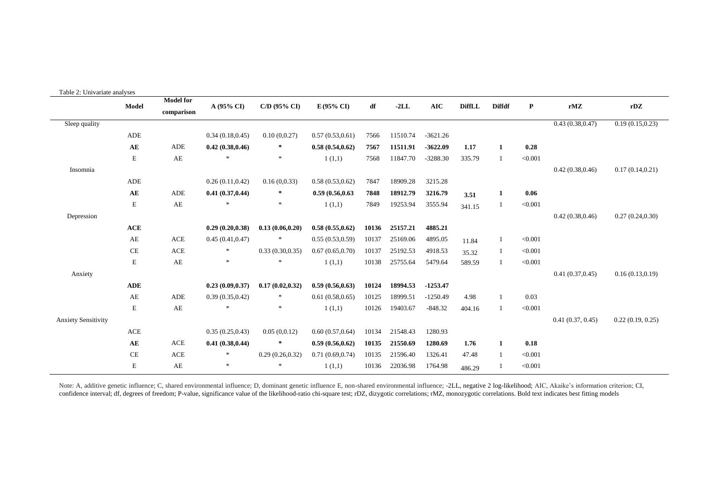| Table 2: Univariate analyses |             |                                |                  |                   |                  |       |          |                |               |                |           |                  |                  |
|------------------------------|-------------|--------------------------------|------------------|-------------------|------------------|-------|----------|----------------|---------------|----------------|-----------|------------------|------------------|
|                              | Model       | <b>Model for</b><br>comparison | A (95% CI)       | $C/D$ (95% $CI$ ) | E(95% CI)        | df    | $-2LL$   | $\mathbf{AIC}$ | <b>DiffLL</b> | <b>Diffdf</b>  | ${\bf P}$ | rMZ              | rDZ              |
| Sleep quality                |             |                                |                  |                   |                  |       |          |                |               |                |           | 0.43(0.38, 0.47) | 0.19(0.15, 0.23) |
|                              | ADE         |                                | 0.34(0.18, 0.45) | 0.10(0,0.27)      | 0.57(0.53, 0.61) | 7566  | 11510.74 | $-3621.26$     |               |                |           |                  |                  |
|                              | AE          | ADE                            | 0.42(0.38, 0.46) | $\ast$            | 0.58(0.54, 0.62) | 7567  | 11511.91 | $-3622.09$     | 1.17          | $\mathbf{1}$   | 0.28      |                  |                  |
|                              | $\mathbf E$ | AE                             |                  | $\ast$            | 1(1,1)           | 7568  | 11847.70 | $-3288.30$     | 335.79        | -1             | < 0.001   |                  |                  |
| Insomnia                     |             |                                |                  |                   |                  |       |          |                |               |                |           | 0.42(0.38, 0.46) | 0.17(0.14, 0.21) |
|                              | ADE         |                                | 0.26(0.11, 0.42) | 0.16(0.0.33)      | 0.58(0.53, 0.62) | 7847  | 18909.28 | 3215.28        |               |                |           |                  |                  |
|                              | AE          | <b>ADE</b>                     | 0.41(0.37, 0.44) | $\star$           | 0.59(0.56, 0.63) | 7848  | 18912.79 | 3216.79        | 3.51          | 1              | 0.06      |                  |                  |
|                              | $\mathbf E$ | $\mathbf{A}\mathbf{E}$         | $\ast$           | *                 | 1(1,1)           | 7849  | 19253.94 | 3555.94        | 341.15        | $\mathbf{1}$   | < 0.001   |                  |                  |
| Depression                   |             |                                |                  |                   |                  |       |          |                |               |                |           | 0.42(0.38, 0.46) | 0.27(0.24, 0.30) |
|                              | ACE         |                                | 0.29(0.20, 0.38) | 0.13(0.06, 0.20)  | 0.58(0.55, 0.62) | 10136 | 25157.21 | 4885.21        |               |                |           |                  |                  |
|                              | AE          | <b>ACE</b>                     | 0.45(0.41, 0.47) |                   | 0.55(0.53, 0.59) | 10137 | 25169.06 | 4895.05        | 11.84         | -1             | < 0.001   |                  |                  |
|                              | CE          | <b>ACE</b>                     | $\ast$           | 0.33(0.30, 0.35)  | 0.67(0.65, 0.70) | 10137 | 25192.53 | 4918.53        | 35.32         | -1             | < 0.001   |                  |                  |
|                              | $\mathbf E$ | AE                             | $\ast$           |                   | 1(1,1)           | 10138 | 25755.64 | 5479.64        | 589.59        | -1             | < 0.001   |                  |                  |
| Anxiety                      |             |                                |                  |                   |                  |       |          |                |               |                |           | 0.41(0.37, 0.45) | 0.16(0.13, 0.19) |
|                              | <b>ADE</b>  |                                | 0.23(0.09, 0.37) | 0.17(0.02, 0.32)  | 0.59(0.56, 0.63) | 10124 | 18994.53 | $-1253.47$     |               |                |           |                  |                  |
|                              | AE          | <b>ADE</b>                     | 0.39(0.35, 0.42) | $*$               | 0.61(0.58, 0.65) | 10125 | 18999.51 | $-1250.49$     | 4.98          | $\overline{1}$ | 0.03      |                  |                  |
|                              | $\mathbf E$ | AE                             | $\ast$           | $\ast$            | 1(1,1)           | 10126 | 19403.67 | $-848.32$      | 404.16        | -1             | < 0.001   |                  |                  |
| <b>Anxiety Sensitivity</b>   |             |                                |                  |                   |                  |       |          |                |               |                |           | 0.41(0.37, 0.45) | 0.22(0.19, 0.25) |
|                              | $\rm{ACE}$  |                                | 0.35(0.25, 0.43) | 0.05(0,0.12)      | 0.60(0.57,0.64)  | 10134 | 21548.43 | 1280.93        |               |                |           |                  |                  |
|                              | AE          | <b>ACE</b>                     | 0.41(0.38, 0.44) | $\ast$            | 0.59(0.56, 0.62) | 10135 | 21550.69 | 1280.69        | 1.76          | 1              | 0.18      |                  |                  |
|                              | $\!$ $\!$   | <b>ACE</b>                     | $\ast$           | 0.29(0.26, 0.32)  | 0.71(0.69, 0.74) | 10135 | 21596.40 | 1326.41        | 47.48         | -1             | < 0.001   |                  |                  |
|                              | $\mathbf E$ | AE                             | $\ast$           | $\ast$            | 1(1,1)           | 10136 | 22036.98 | 1764.98        | 486.29        |                | < 0.001   |                  |                  |

Note: A, additive genetic influence; C, shared environmental influence; D, dominant genetic influence E, non-shared environmental influence; -2LL, negative 2 log-likelihood; AIC, Akaike's information criterion; CI, confidence interval; df, degrees of freedom; P-value, significance value of the likelihood-ratio chi-square test; rDZ, dizygotic correlations; rMZ, monozygotic correlations. Bold text indicates best fitting models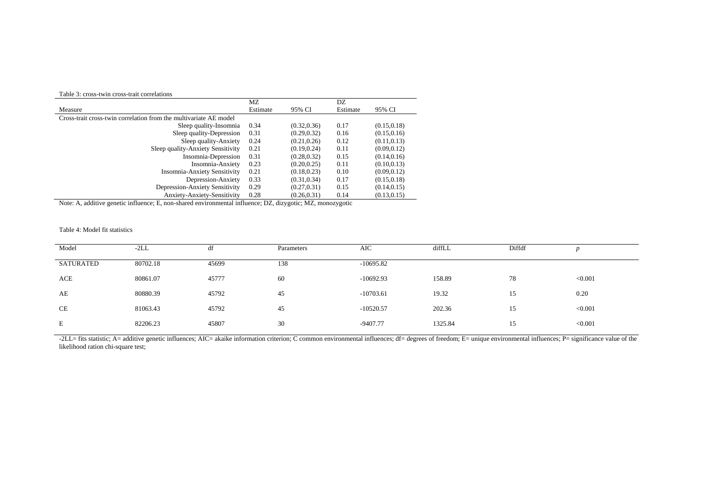## Table 3: cross-twin cross-trait correlations

| Table 9. Cross-twill cross-trait correlations                     |          |              |          |              |
|-------------------------------------------------------------------|----------|--------------|----------|--------------|
|                                                                   | МZ       |              | DZ       |              |
| Measure                                                           | Estimate | 95% CI       | Estimate | 95% CI       |
| Cross-trait cross-twin correlation from the multivariate AE model |          |              |          |              |
| Sleep quality-Insomnia                                            | 0.34     | (0.32, 0.36) | 0.17     | (0.15, 0.18) |
| Sleep quality-Depression                                          | 0.31     | (0.29, 0.32) | 0.16     | (0.15, 0.16) |
| Sleep quality-Anxiety                                             | 0.24     | (0.21, 0.26) | 0.12     | (0.11, 0.13) |
| Sleep quality-Anxiety Sensitivity                                 | 0.21     | (0.19, 0.24) | 0.11     | (0.09, 0.12) |
| Insomnia-Depression                                               | 0.31     | (0.28, 0.32) | 0.15     | (0.14, 0.16) |
| Insomnia-Anxiety                                                  | 0.23     | (0.20, 0.25) | 0.11     | (0.10, 0.13) |
| <b>Insomnia-Anxiety Sensitivity</b>                               | 0.21     | (0.18, 0.23) | 0.10     | (0.09, 0.12) |
| Depression-Anxiety                                                | 0.33     | (0.31, 0.34) | 0.17     | (0.15, 0.18) |
| Depression-Anxiety Sensitivity                                    | 0.29     | (0.27, 0.31) | 0.15     | (0.14, 0.15) |
| Anxiety-Anxiety-Sensitivity                                       | 0.28     | (0.26, 0.31) | 0.14     | (0.13, 0.15) |

Note: A, additive genetic influence; E, non-shared environmental influence; DZ, dizygotic; MZ, monozygotic

## Table 4: Model fit statistics

| Model     | $-2LL$   | df    | Parameters | AIC         | diffLL  | Diffdf |         |
|-----------|----------|-------|------------|-------------|---------|--------|---------|
| SATURATED | 80702.18 | 45699 | 138        | $-10695.82$ |         |        |         |
| ACE       | 80861.07 | 45777 | 60         | $-10692.93$ | 158.89  | 78     | < 0.001 |
| AE        | 80880.39 | 45792 | 45         | $-10703.61$ | 19.32   | 15     | 0.20    |
| CE        | 81063.43 | 45792 | 45         | $-10520.57$ | 202.36  | 15     | < 0.001 |
| E         | 82206.23 | 45807 | 30         | -9407.77    | 1325.84 | 15     | < 0.001 |

-2LL= fits statistic; A= additive genetic influences; AIC= akaike information criterion; C common environmental influences; df= degrees of freedom; E= unique environmental influences; P= significance value of the likelihood ration chi-square test;